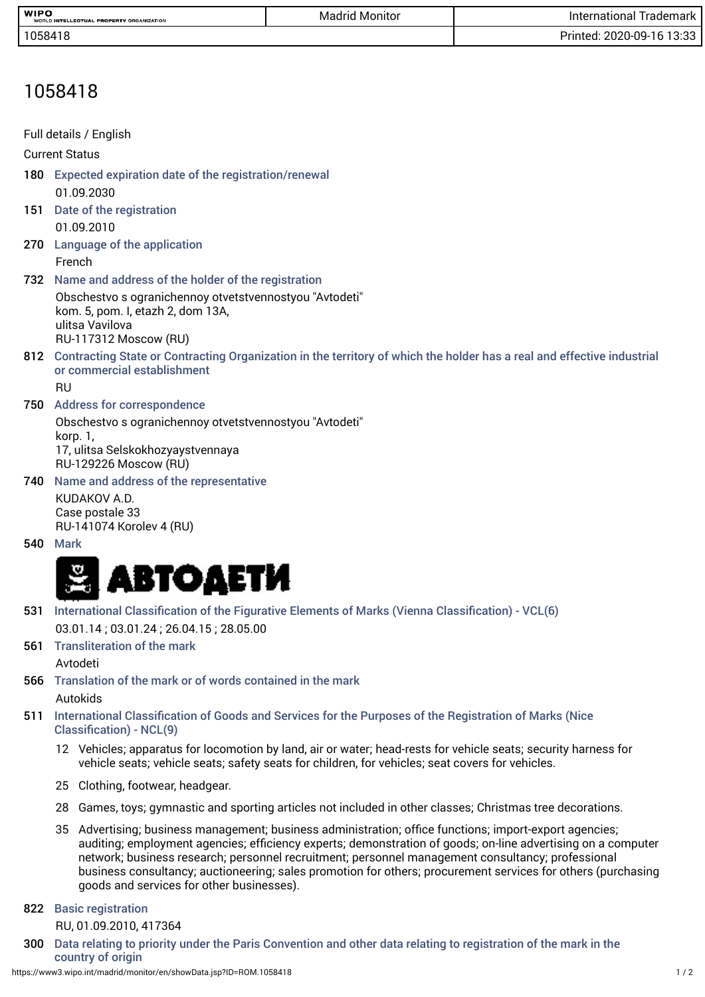| <b>WIPO</b>                              | Monitor | rademark '                         |
|------------------------------------------|---------|------------------------------------|
| WORLD INTELLECTUAL PROPERTY ORGANIZATION | Madrid  | International                      |
| 1058418                                  |         | Print.<br>ר מיו<br>2020-09-<br>טטי |

## 1058418

|      | Full details / English                                                                                                                                    |
|------|-----------------------------------------------------------------------------------------------------------------------------------------------------------|
|      | <b>Current Status</b>                                                                                                                                     |
| 180  | Expected expiration date of the registration/renewal                                                                                                      |
|      | 01.09.2030                                                                                                                                                |
| 151  | Date of the registration                                                                                                                                  |
|      | 01.09.2010                                                                                                                                                |
| 270  | Language of the application                                                                                                                               |
|      | French                                                                                                                                                    |
| 732  | Name and address of the holder of the registration                                                                                                        |
|      | Obschestvo s ogranichennoy otvetstvennostyou "Avtodeti"<br>kom. 5, pom. I, etazh 2, dom 13A,<br>ulitsa Vavilova                                           |
|      | RU-117312 Moscow (RU)                                                                                                                                     |
|      | 812 Contracting State or Contracting Organization in the territory of which the holder has a real and effective industrial<br>or commercial establishment |
|      | RU                                                                                                                                                        |
| 750  | <b>Address for correspondence</b>                                                                                                                         |
|      | Obschestvo s ogranichennoy otvetstvennostyou "Avtodeti"<br>korp. 1,                                                                                       |
|      | 17, ulitsa Selskokhozyaystvennaya<br><b>RU-129226 Moscow (RU)</b>                                                                                         |
| 740. | Name and address of the representative                                                                                                                    |

KUDAKOV A.D. Case postale 33 RU-141074 Korolev 4 (RU)

540 Mark



- 531 International Classifcation of the Figurative Elements of Marks (Vienna Classifcation) VCL(6) 03.01.14 ; 03.01.24 ; 26.04.15 ; 28.05.00
- 561 Transliteration of the mark Avtodeti
- 566 Translation of the mark or of words contained in the mark Autokids
- 511 International Classifcation of Goods and Services for the Purposes of the Registration of Marks (Nice Classifcation) - NCL(9)
	- 12 Vehicles; apparatus for locomotion by land, air or water; head-rests for vehicle seats; security harness for vehicle seats; vehicle seats; safety seats for children, for vehicles; seat covers for vehicles.
	- 25 Clothing, footwear, headgear.
	- 28 Games, toys; gymnastic and sporting articles not included in other classes; Christmas tree decorations.
	- 35 Advertising; business management; business administration; offce functions; import-export agencies; auditing; employment agencies; effciency experts; demonstration of goods; on-line advertising on a computer network; business research; personnel recruitment; personnel management consultancy; professional business consultancy; auctioneering; sales promotion for others; procurement services for others (purchasing goods and services for other businesses).

## 822 Basic registration

RU, 01.09.2010, 417364

300 Data relating to priority under the Paris Convention and other data relating to registration of the mark in the country of origin